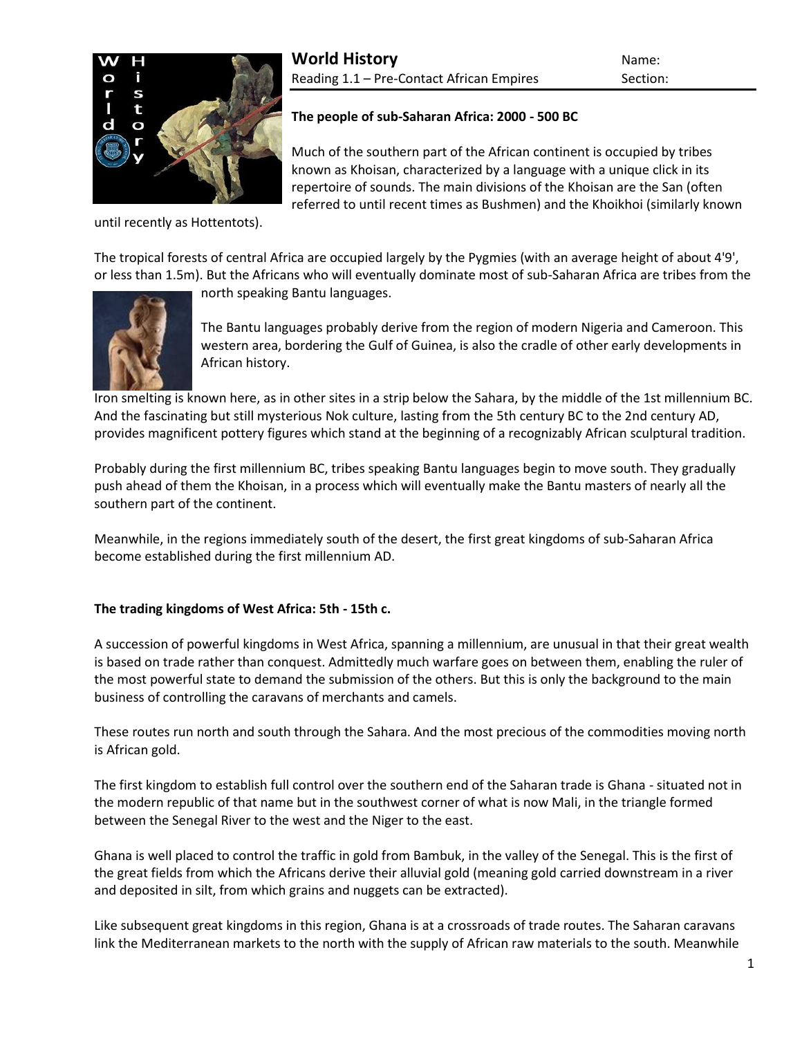

until recently as [Hottentots\)](http://www.historyworld.net/wrldhis/PlainTextHistories.asp?gtrack=pthc&ParagraphID=oqz#oqz).

# **The people of sub-Saharan Africa: 2000 - 500 BC**

Much of the southern part of the African continent is occupied by tribes known as Khoisan, characterized by a language with a unique click in its repertoire of sounds. The main divisions of the Khoisan are the San (often referred to until recent times as Bushmen) and the Khoikhoi (similarly known

The tropical forests of central Africa are occupied largely by the Pygmies (with an average height of about 4'9', or less than 1.5m). But the Africans who will eventually dominate most of sub-Saharan Africa are tribes from the



north speaking [Bantu languages.](http://www.historyworld.net/wrldhis/PlainTextHistories.asp?gtrack=pthc&ParagraphID=bzf#bzf)

The Bantu languages probably derive from the region of modern Nigeria and Cameroon. This western area, bordering the Gulf of Guinea, is also the cradle of other early developments in African history.

[Iron](http://www.historyworld.net/wrldhis/PlainTextHistories.asp?gtrack=pthc&ParagraphID=bbb#bbb) smelting is known here, as in other sites in a strip below the Sahara, by the middle of the 1st millennium BC. And the fascinating but still mysterious Nok culture, lasting from the 5th century BC to the 2nd century AD, provides magnificent pottery figures which stand at the beginning of a recognizably African sculptural tradition.

Probably during the first millennium BC, tribes speaking [Bantu languages](http://www.historyworld.net/wrldhis/PlainTextHistories.asp?gtrack=pthc&ParagraphID=bzf#bzf) begin to move south. They gradually push ahead of them the Khoisan, in a process which will eventually make the Bantu masters of nearly all the southern part of the continent.

Meanwhile, in the regions immediately south of the desert, the first great kingdoms of sub-Saharan Africa become established during the first millennium AD.

# **The trading kingdoms of West Africa: 5th - 15th c.**

A succession of powerful kingdoms in West Africa, spanning a millennium, are unusual in that their great wealth is based on trade rather than conquest. Admittedly much warfare goes on between them, enabling the ruler of the most powerful state to demand the submission of the others. But this is only the background to the main business of controlling the caravans of merchants and camels.

These routes run north and south through the [Sahara.](http://www.historyworld.net/wrldhis/PlainTextHistories.asp?gtrack=pthc&ParagraphID=avm#avm) And the most precious of the commodities moving north is African gold.

The first kingdom to establish full control over the southern end of the Saharan trade is Ghana - situated not in the modern republic of that name but in the southwest corner of what is now Mali, in the triangle formed between the Senegal River to the west and the Niger to the east.

Ghana is well placed to control the traffic in gold from Bambuk, in the valley of the Senegal. This is the first of the great fields from which the Africans derive their alluvial gold (meaning gold carried downstream in a river and deposited in silt, from which grains and nuggets can be extracted).

Like subsequent great kingdoms in this region, Ghana is at a crossroads of trade routes. The Saharan caravans link the Mediterranean markets to the north with the supply of African raw materials to the south. Meanwhile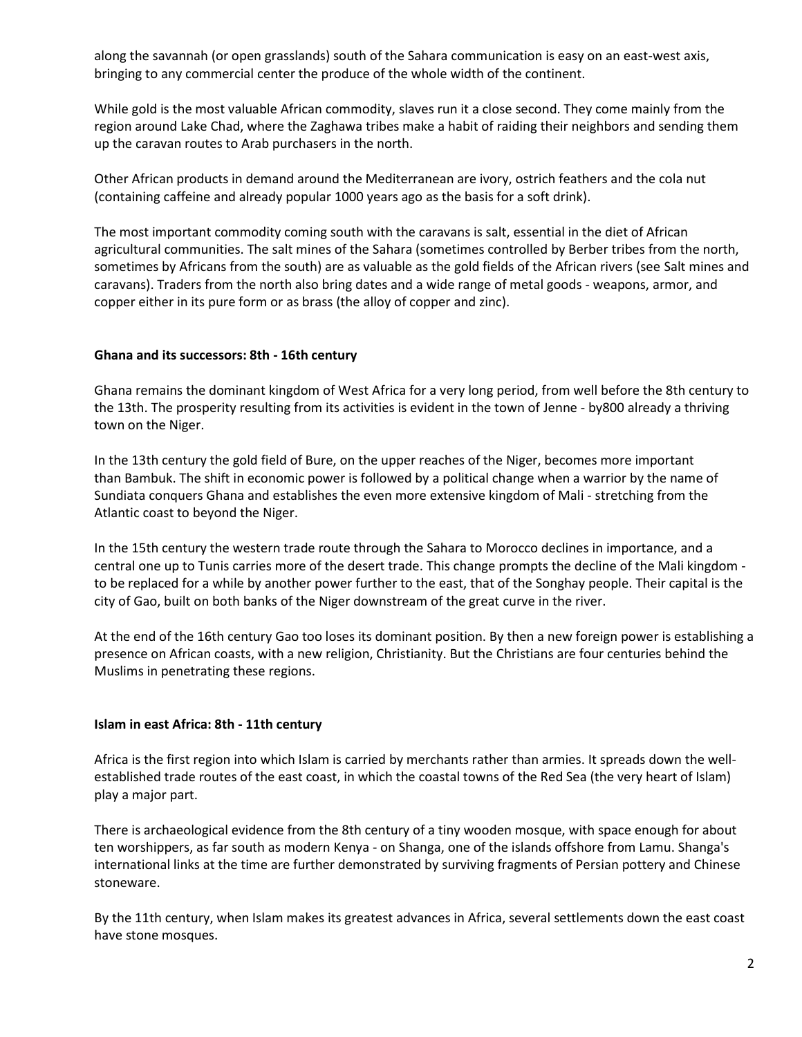along the savannah (or open grasslands) south of the Sahara communication is easy on an east-west axis, bringing to any commercial center the produce of the whole width of the continent.

While gold is the most valuable African commodity, [slaves](http://www.historyworld.net/wrldhis/PlainTextHistories.asp?gtrack=pthc&ParagraphID=ewy#ewy) run it a close second. They come mainly from the region around Lake Chad, where the Zaghawa tribes make a habit of raiding their neighbors and sending them up the caravan routes to Arab purchasers in the north.

Other African products in demand around the Mediterranean are ivory, ostrich feathers and the cola nut (containing caffeine and already popular 1000 years ago as the basis for a soft drink).

The most important commodity coming south with the caravans is salt, essential in the diet of African agricultural communities. The salt mines of the Sahara (sometimes controlled by Berber tribes from the north, sometimes by Africans from the south) are as valuable as the gold fields of the African rivers (see [Salt mines and](http://www.historyworld.net/wrldhis/PlainTextHistories.asp?historyid=179)  [caravans\)](http://www.historyworld.net/wrldhis/PlainTextHistories.asp?historyid=179). Traders from the north also bring dates and a wide range of metal goods - weapons, armor, and copper either in its pure form or as brass (the alloy of copper and zinc).

# **Ghana and its successors: 8th - 16th century**

Ghana remains the dominant kingdom of West Africa for a very long period, from well before the 8th century to the 13th. The prosperity resulting from its activities is evident in the town of [Jenne](http://www.historyworld.net/wrldhis/PlainTextHistories.asp?historyid=178) - by800 already a thriving town on the Niger.

In the 13th century the gold field of Bure, on the upper reaches of the Niger, becomes more important than [Bambuk.](http://www.historyworld.net/wrldhis/PlainTextHistories.asp?gtrack=pthc&ParagraphID=evw#evw) The shift in economic power is followed by a political change when a warrior by the name of Sundiata conquers Ghana and establishes the even more extensive kingdom of Mali - stretching from the Atlantic coast to beyond the Niger.

In the 15th century the western trade route through the Sahara to Morocco declines in importance, and a central one up to Tunis carries more of the desert trade. This change prompts the decline of the Mali kingdom to be replaced for a while by another power further to the east, that of the Songhay people. Their capital is the city of Gao, built on both banks of the Niger downstream of the great curve in the river.

At the end of the 16th century Gao too loses its dominant position. By then a new foreign power is establishing a presence on African coasts, with a new religion, Christianity. But the [Christians](http://www.historyworld.net/wrldhis/PlainTextHistories.asp?gtrack=pthc&ParagraphID=gpp#gpp) are four centuries behind the [Muslims](http://www.historyworld.net/wrldhis/PlainTextHistories.asp?gtrack=pthc&ParagraphID=ewe#ewe) in penetrating these regions.

# **Islam in east Africa: 8th - 11th century**

Africa is the first region into which Islam is carried by merchants rather than armies. It spreads down the wellestablished trade routes of the east coast, in which the coastal towns of the Red Sea (the very heart of Islam) play a major part.

There is archaeological evidence from the 8th century of a tiny wooden mosque, with space enough for about ten worshippers, as far south as modern Kenya - on Shanga, one of the islands offshore from Lamu. Shanga's international links at the time are further demonstrated by surviving fragments of Persian pottery and Chinese stoneware.

By the 11th century, when Islam makes its greatest advances in Africa, several settlements down the east coast have stone mosques.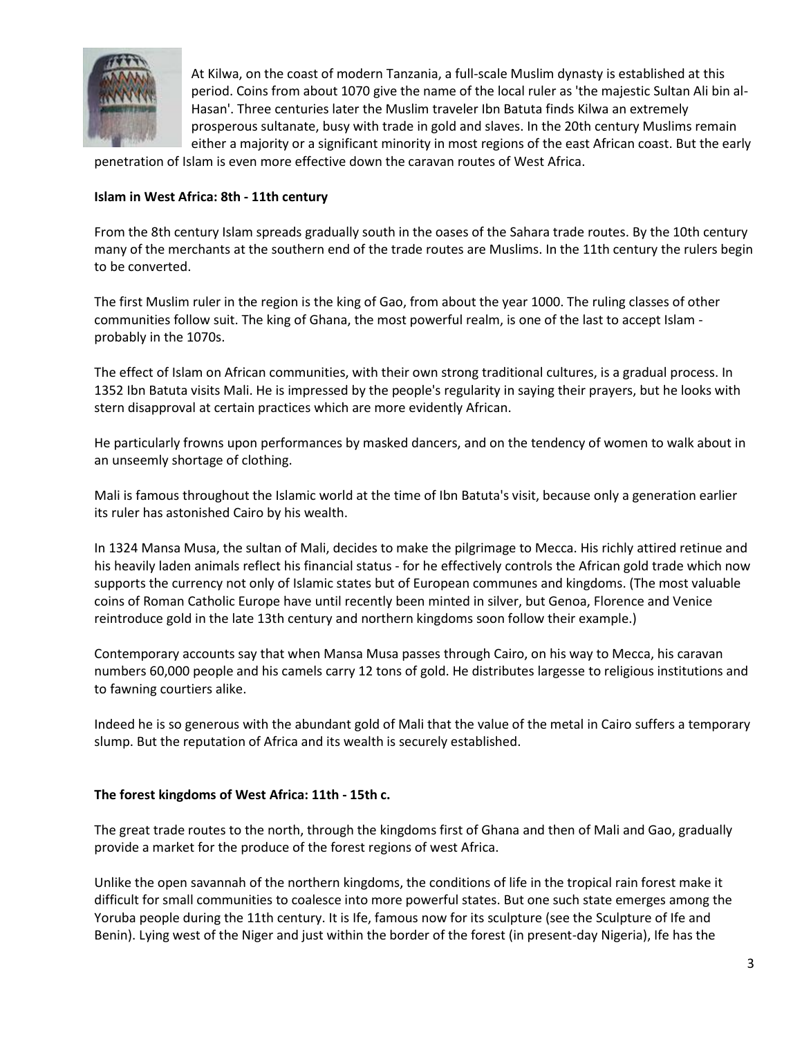

At Kilwa, on the coast of modern Tanzania, a full-scale Muslim dynasty is established at this period. Coins from about 1070 give the name of the local ruler as 'the majestic Sultan Ali bin al-Hasan'. Three centuries later the Muslim traveler [Ibn Batuta](http://www.historyworld.net/wrldhis/PlainTextHistories.asp?gtrack=pthc&ParagraphID=gqe#gqe) finds Kilwa an extremely prosperous sultanate, busy with trade in gold and slaves. In the 20th century Muslims remain either a majority or a significant minority in most regions of the east African coast. But the early

penetration of Islam is even more effective down the caravan routes of West Africa.

# **Islam in West Africa: 8th - 11th century**

From the 8th century Islam spreads gradually south in the oases of the [Sahara trade routes.](http://www.historyworld.net/wrldhis/PlainTextHistories.asp?gtrack=pthc&ParagraphID=evv#evv) By the 10th century many of the merchants at the southern end of the trade routes are Muslims. In the 11th century the rulers begin to be converted.

The first Muslim ruler in the region is the king of [Gao,](http://www.historyworld.net/wrldhis/PlainTextHistories.asp?gtrack=pthc&ParagraphID=ewb#ewb) from about the year 1000. The ruling classes of other communities follow suit. The king of [Ghana,](http://www.historyworld.net/wrldhis/PlainTextHistories.asp?gtrack=pthc&ParagraphID=evw#evw) the most powerful realm, is one of the last to accept Islam probably in the 1070s.

The effect of Islam on African communities, with their own strong traditional cultures, is a gradual process. In 1352 [Ibn Batuta](http://www.historyworld.net/wrldhis/PlainTextHistories.asp?gtrack=pthc&ParagraphID=gqh#gqh) visits [Mali.](http://www.historyworld.net/wrldhis/PlainTextHistories.asp?gtrack=pthc&ParagraphID=ewa#ewa) He is impressed by the people's regularity in saying their prayers, but he looks with stern disapproval at certain practices which are more evidently African.

He particularly frowns upon performances by masked dancers, and on the tendency of women to walk about in an unseemly shortage of clothing.

Mali is famous throughout the Islamic world at the time of Ibn Batuta's visit, because only a generation earlier its ruler has astonished Cairo by his wealth.

In 1324 Mansa Musa, the sultan of [Mali,](http://www.historyworld.net/wrldhis/PlainTextHistories.asp?gtrack=pthc&ParagraphID=ewa#ewa) decides to make the pilgrimage to [Mecca.](http://www.historyworld.net/wrldhis/PlainTextHistories.asp?gtrack=pthc&ParagraphID=afy#afy) His richly attired retinue and his heavily laden animals reflect his financial status - for he effectively controls the African gold trade which now supports the currency not only of Islamic states but of European communes and kingdoms. (The most valuable coins of Roman Catholic Europe have until recently been minted in silver, but Genoa, Florence and Venice reintroduce gold in the late 13th century and northern kingdoms soon follow their example.)

Contemporary accounts say that when Mansa Musa passes through Cairo, on his way to Mecca, his caravan numbers 60,000 people and his camels carry 12 tons of gold. He distributes largesse to religious institutions and to fawning courtiers alike.

Indeed he is so generous with the abundant gold of Mali that the value of the metal in Cairo suffers a temporary slump. But the reputation of Africa and its wealth is securely established.

# **The forest kingdoms of West Africa: 11th - 15th c.**

The great trade routes to the north, through the kingdoms first of [Ghana](http://www.historyworld.net/wrldhis/PlainTextHistories.asp?gtrack=pthc&ParagraphID=evw#evw) and then of [Mali](http://www.historyworld.net/wrldhis/PlainTextHistories.asp?gtrack=pthc&ParagraphID=ewa#ewa) and [Gao,](http://www.historyworld.net/wrldhis/PlainTextHistories.asp?gtrack=pthc&ParagraphID=ewb#ewb) gradually provide a market for the produce of the forest regions of west Africa.

Unlike the open savannah of the northern kingdoms, the conditions of life in the tropical rain forest make it difficult for small communities to coalesce into more powerful states. But one such state emerges among the Yoruba people during the 11th century. It is Ife, famous now for its sculpture (see the [Sculpture of Ife and](http://www.historyworld.net/wrldhis/PlainTextHistories.asp?historyid=180)  [Benin\)](http://www.historyworld.net/wrldhis/PlainTextHistories.asp?historyid=180). Lying west of the Niger and just within the border of the forest (in present-day [Nigeria\)](http://www.historyworld.net/wrldhis/PlainTextHistories.asp?gtrack=pthc&ParagraphID=pls#pls), Ife has the